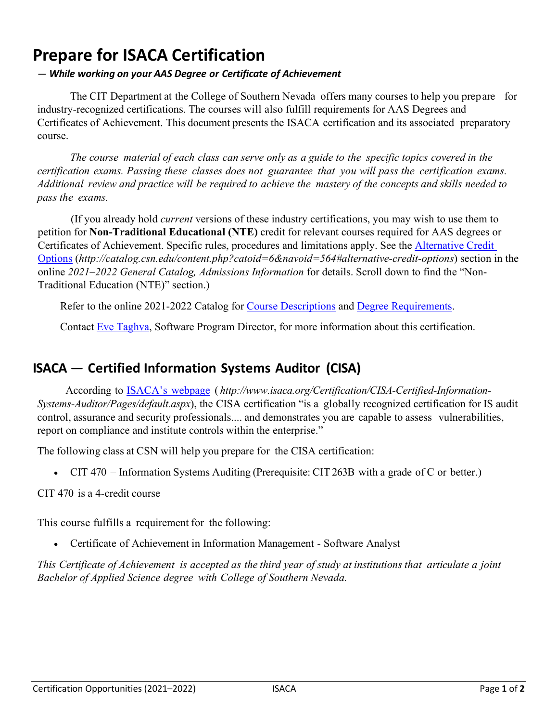## **Prepare for ISACA Certification**

## *— While working on your AAS Degree or Certificate of Achievement*

The CIT Department at the College of Southern Nevada offers many courses to help you prepare for industry-recognized certifications. The courses will also fulfill requirements for AAS Degrees and Certificates of Achievement. This document presents the ISACA certification and its associated preparatory course.

The course material of each class can serve only as a guide to the specific topics covered in the *certification exams. Passing these classes does not guarantee that you will pass the certification exams.*  Additional review and practice will be required to achieve the mastery of the concepts and skills needed to *pass the exams.*

(If you already hold *current* versions of these industry certifications, you may wish to use them to petition for **Non-Traditional Educational (NTE)** credit for relevant courses required for AAS degrees or Certificates of Achievement. Specific rules, procedures and limitations apply. See the [Alternative Credit](http://catalog.csn.edu/content.php?catoid=6&navoid=564#alternative-credit-options)  [Options](http://catalog.csn.edu/content.php?catoid=6&navoid=564#alternative-credit-options) (*http://catalog.csn.edu/content.php?catoid=6&navoid=564#alternative-credit-options*) section in the online *2021–2022 General Catalog, Admissions Information* for details. Scroll down to find the "Non-Traditional Education (NTE)" section.)

Refer to the online 2021-2022 Catalog for [Course Descriptions](http://catalog.csn.edu/content.php?catoid=6&navoid=571) and [Degree Requirements.](http://catalog.csn.edu/content.php?catoid=6&navoid=594)

Contact [Eve Taghva,](https://www.csn.edu/directory/eve-taghva) Software Program Director, for more information about this certification.

## **ISACA — Certified Information Systems Auditor (CISA)**

According to [ISACA's](http://www.isaca.org/Certification/CISA-Certified-Information-Systems-Auditor/Pages/default.aspx) webpage ( *http://www.isaca.org/Certification/CISA-Certified-Information-Systems-Auditor/Pages/default.aspx*), the CISA certification "is a globally recognized certification for IS audit control, assurance and security professionals.... and demonstrates you are capable to assess vulnerabilities, report on compliance and institute controls within the enterprise."

The following class at CSN will help you prepare for the CISA certification:

• CIT 470 – Information Systems Auditing (Prerequisite: CIT 263B with a grade of C or better.)

CIT 470 is a 4-credit course

This course fulfills a requirement for the following:

• Certificate of Achievement in Information Management - Software Analyst

This Certificate of Achievement is accepted as the third year of study at institutions that articulate a joint *Bachelor of Applied Science degree with College of Southern Nevada.*